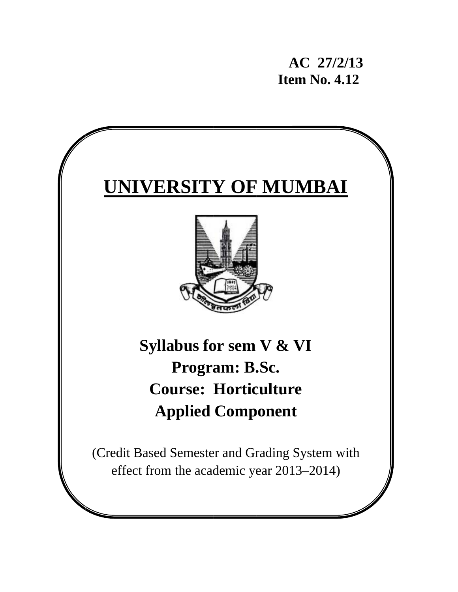**AC** 27/2/13 **Item No. 4.12** 

# **UNIVERSITY OF MUMBAI**



Syllabus for sem **V** & VI **Course: Horticulture Ap pplied Comp ponent Program: B.Sc.** 

(Credit Based Semester and Grading System with effect from the academic year 2013–2014)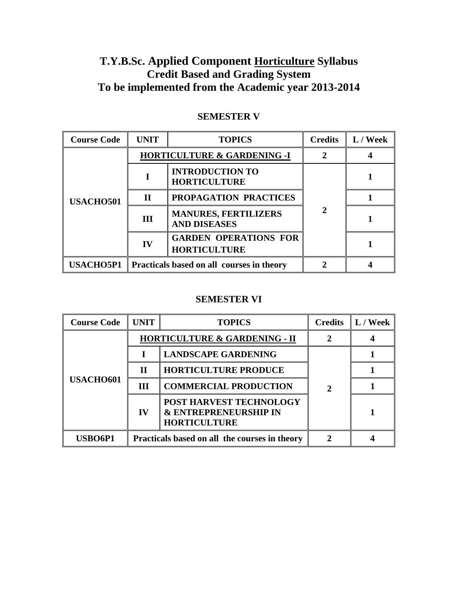# **T.Y.B.Sc. Applied Component Horticulture Syllabus Credit Based and Grading System To be implemented from the Academic year 2013-2014**

| <b>Course Code</b> | <b>UNIT</b>                                                | <b>TOPICS</b>                                       | <b>Credits</b> | L / Week |
|--------------------|------------------------------------------------------------|-----------------------------------------------------|----------------|----------|
| <b>USACHO501</b>   |                                                            | <b>HORTICULTURE &amp; GARDENING -I</b>              |                |          |
|                    |                                                            | <b>INTRODUCTION TO</b><br><b>HORTICULTURE</b>       |                |          |
|                    | $\mathbf H$                                                | PROPAGATION PRACTICES                               |                |          |
|                    | III                                                        | <b>MANURES, FERTILIZERS</b><br><b>AND DISEASES</b>  |                |          |
|                    | $\bf{IV}$                                                  | <b>GARDEN OPERATIONS FOR</b><br><b>HORTICULTURE</b> |                |          |
|                    | <b>USACHO5P1</b> Practicals based on all courses in theory |                                                     |                |          |

# **SEMESTER V**

# **SEMESTER VI**

| <b>Course Code</b> | <b>UNIT</b>                                   | <b>TOPICS</b>                                                                      | <b>Credits</b> | L / Week |
|--------------------|-----------------------------------------------|------------------------------------------------------------------------------------|----------------|----------|
| <b>USACHO601</b>   |                                               | <b>HORTICULTURE &amp; GARDENING - II</b>                                           |                |          |
|                    |                                               | <b>LANDSCAPE GARDENING</b>                                                         |                |          |
|                    | $\mathbf H$                                   | <b>HORTICULTURE PRODUCE</b>                                                        | 2              |          |
|                    | <b>III</b>                                    | <b>COMMERCIAL PRODUCTION</b>                                                       |                |          |
|                    | IV                                            | POST HARVEST TECHNOLOGY<br><b>&amp; ENTREPRENEURSHIP IN</b><br><b>HORTICULTURE</b> |                |          |
| USBO6P1            | Practicals based on all the courses in theory |                                                                                    |                |          |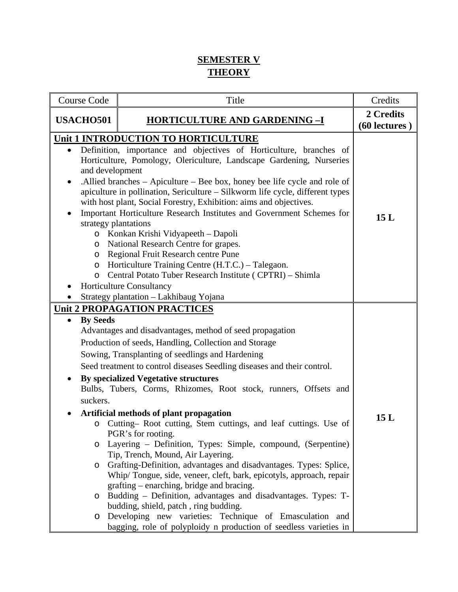# **SEMESTER V THEORY**

| Course Code                                                                         | Title                                                                                                                                                                                                                                                                                                                                                                                                                                                                                                                                                                                                                                                                                                                                                                                                                                                                                                                                                                                                                                                                                   | Credits                      |
|-------------------------------------------------------------------------------------|-----------------------------------------------------------------------------------------------------------------------------------------------------------------------------------------------------------------------------------------------------------------------------------------------------------------------------------------------------------------------------------------------------------------------------------------------------------------------------------------------------------------------------------------------------------------------------------------------------------------------------------------------------------------------------------------------------------------------------------------------------------------------------------------------------------------------------------------------------------------------------------------------------------------------------------------------------------------------------------------------------------------------------------------------------------------------------------------|------------------------------|
| <b>USACHO501</b><br><b>HORTICULTURE AND GARDENING -I</b>                            |                                                                                                                                                                                                                                                                                                                                                                                                                                                                                                                                                                                                                                                                                                                                                                                                                                                                                                                                                                                                                                                                                         | 2 Credits<br>$(60$ lectures) |
| and development<br>strategy plantations<br>$\circ$<br>$\circ$<br>$\circ$<br>$\circ$ | Unit 1 INTRODUCTION TO HORTICULTURE<br>Definition, importance and objectives of Horticulture, branches of<br>Horticulture, Pomology, Olericulture, Landscape Gardening, Nurseries<br>. Allied branches – Apiculture – Bee box, honey bee life cycle and role of<br>apiculture in pollination, Sericulture - Silkworm life cycle, different types<br>with host plant, Social Forestry, Exhibition: aims and objectives.<br>Important Horticulture Research Institutes and Government Schemes for<br>o Konkan Krishi Vidyapeeth - Dapoli<br>National Research Centre for grapes.<br>Regional Fruit Research centre Pune<br>Horticulture Training Centre (H.T.C.) – Talegaon.<br>Central Potato Tuber Research Institute (CPTRI) - Shimla<br><b>Horticulture Consultancy</b><br>Strategy plantation - Lakhibaug Yojana                                                                                                                                                                                                                                                                     | 15L                          |
| <b>By Seeds</b><br>suckers.<br>O<br>$\circ$<br>$\circ$<br>$\circ$                   | <b>Unit 2 PROPAGATION PRACTICES</b><br>Advantages and disadvantages, method of seed propagation<br>Production of seeds, Handling, Collection and Storage<br>Sowing, Transplanting of seedlings and Hardening<br>Seed treatment to control diseases Seedling diseases and their control.<br><b>By specialized Vegetative structures</b><br>Bulbs, Tubers, Corms, Rhizomes, Root stock, runners, Offsets and<br>Artificial methods of plant propagation<br>o Cutting–Root cutting, Stem cuttings, and leaf cuttings. Use of<br>PGR's for rooting.<br>Layering - Definition, Types: Simple, compound, (Serpentine)<br>Tip, Trench, Mound, Air Layering.<br>Grafting-Definition, advantages and disadvantages. Types: Splice,<br>Whip/Tongue, side, veneer, cleft, bark, epicotyls, approach, repair<br>grafting - enarching, bridge and bracing.<br>Budding – Definition, advantages and disadvantages. Types: T-<br>budding, shield, patch, ring budding.<br>Developing new varieties: Technique of Emasculation and<br>bagging, role of polyploidy n production of seedless varieties in | 15L                          |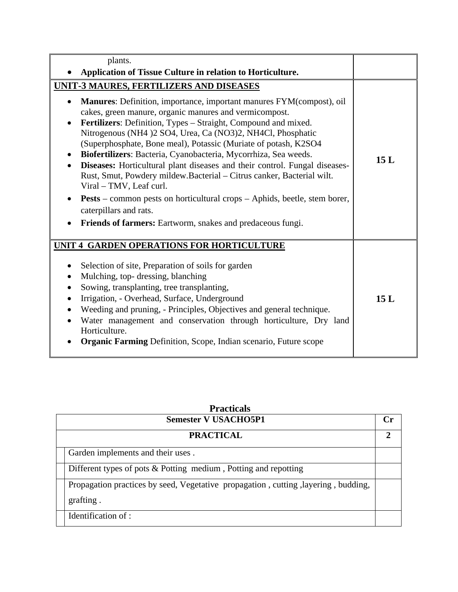| plants.                                                                                                                                                                                                                                                                                                                                                                                                                                                                                                                                                                                                                                                                                                                                                                         |     |
|---------------------------------------------------------------------------------------------------------------------------------------------------------------------------------------------------------------------------------------------------------------------------------------------------------------------------------------------------------------------------------------------------------------------------------------------------------------------------------------------------------------------------------------------------------------------------------------------------------------------------------------------------------------------------------------------------------------------------------------------------------------------------------|-----|
| Application of Tissue Culture in relation to Horticulture.                                                                                                                                                                                                                                                                                                                                                                                                                                                                                                                                                                                                                                                                                                                      |     |
| <b>UNIT-3 MAURES, FERTILIZERS AND DISEASES</b>                                                                                                                                                                                                                                                                                                                                                                                                                                                                                                                                                                                                                                                                                                                                  |     |
| Manures: Definition, importance, important manures FYM(compost), oil<br>cakes, green manure, organic manures and vermicompost.<br>Fertilizers: Definition, Types – Straight, Compound and mixed.<br>Nitrogenous (NH4)2 SO4, Urea, Ca (NO3)2, NH4Cl, Phosphatic<br>(Superphosphate, Bone meal), Potassic (Muriate of potash, K2SO4<br>Biofertilizers: Bacteria, Cyanobacteria, Mycorrhiza, Sea weeds.<br>Diseases: Horticultural plant diseases and their control. Fungal diseases-<br>$\bullet$<br>Rust, Smut, Powdery mildew.Bacterial - Citrus canker, Bacterial wilt.<br>Viral - TMV, Leaf curl.<br><b>Pests</b> – common pests on horticultural crops – Aphids, beetle, stem borer,<br>caterpillars and rats.<br>Friends of farmers: Eartworm, snakes and predaceous fungi. | 15L |
| <b>UNIT 4 GARDEN OPERATIONS FOR HORTICULTURE</b><br>Selection of site, Preparation of soils for garden<br>Mulching, top-dressing, blanching<br>$\bullet$<br>Sowing, transplanting, tree transplanting,<br>$\bullet$<br>Irrigation, - Overhead, Surface, Underground<br>$\bullet$<br>Weeding and pruning, - Principles, Objectives and general technique.<br>Water management and conservation through horticulture, Dry land<br>$\bullet$<br>Horticulture.<br><b>Organic Farming Definition, Scope, Indian scenario, Future scope</b>                                                                                                                                                                                                                                           | 15L |

| <b>Practicals</b>           |                                                                                                 |    |
|-----------------------------|-------------------------------------------------------------------------------------------------|----|
| <b>Semester V USACHO5P1</b> |                                                                                                 | Cr |
|                             | <b>PRACTICAL</b>                                                                                |    |
|                             | Garden implements and their uses.                                                               |    |
|                             | Different types of pots $&$ Potting medium, Potting and repotting                               |    |
|                             | Propagation practices by seed, Vegetative propagation, cutting, layering, budding,<br>grafting. |    |
|                             | Identification of :                                                                             |    |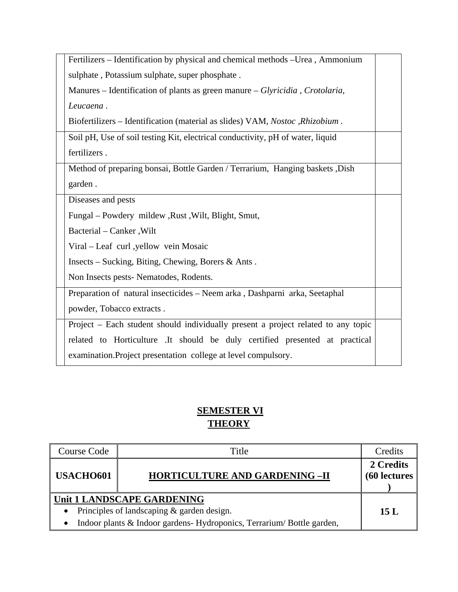| Fertilizers – Identification by physical and chemical methods – Urea, Ammonium    |  |
|-----------------------------------------------------------------------------------|--|
| sulphate, Potassium sulphate, super phosphate.                                    |  |
| Manures – Identification of plants as green manure – Glyricidia, Crotolaria,      |  |
| Leucaena.                                                                         |  |
| Biofertilizers – Identification (material as slides) VAM, Nostoc, Rhizobium.      |  |
| Soil pH, Use of soil testing Kit, electrical conductivity, pH of water, liquid    |  |
| fertilizers.                                                                      |  |
| Method of preparing bonsai, Bottle Garden / Terrarium, Hanging baskets , Dish     |  |
| garden.                                                                           |  |
| Diseases and pests                                                                |  |
| Fungal – Powdery mildew, Rust, Wilt, Blight, Smut,                                |  |
| Bacterial - Canker, Wilt                                                          |  |
| Viral – Leaf curl ,yellow vein Mosaic                                             |  |
| Insects – Sucking, Biting, Chewing, Borers & Ants.                                |  |
| Non Insects pests- Nematodes, Rodents.                                            |  |
| Preparation of natural insecticides - Neem arka, Dashparni arka, Seetaphal        |  |
| powder, Tobacco extracts.                                                         |  |
| Project – Each student should individually present a project related to any topic |  |
| related to Horticulture .It should be duly certified presented at practical       |  |
| examination. Project presentation college at level compulsory.                    |  |
|                                                                                   |  |

# **SEMESTER VI THEORY**

| <b>Course Code</b>                                                                                                                                                         | Title                                 | Credits                           |
|----------------------------------------------------------------------------------------------------------------------------------------------------------------------------|---------------------------------------|-----------------------------------|
| USACHO601                                                                                                                                                                  | <b>HORTICULTURE AND GARDENING -II</b> | 2 Credits<br><b>(60 lectures)</b> |
| Unit 1 LANDSCAPE GARDENING<br>Principles of landscaping & garden design.<br>$\bullet$<br>Indoor plants & Indoor gardens-Hydroponics, Terrarium/Bottle garden,<br>$\bullet$ |                                       | 15L                               |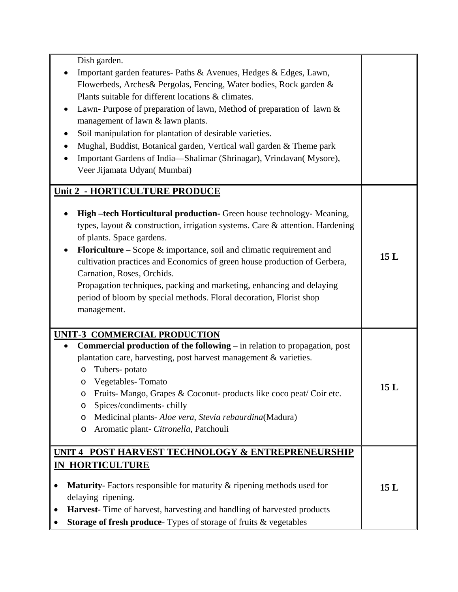| Dish garden.                                                                        |     |
|-------------------------------------------------------------------------------------|-----|
| Important garden features- Paths & Avenues, Hedges & Edges, Lawn,                   |     |
| Flowerbeds, Arches& Pergolas, Fencing, Water bodies, Rock garden &                  |     |
| Plants suitable for different locations & climates.                                 |     |
| Lawn-Purpose of preparation of lawn, Method of preparation of lawn $\&$             |     |
| management of lawn & lawn plants.                                                   |     |
| Soil manipulation for plantation of desirable varieties.                            |     |
| Mughal, Buddist, Botanical garden, Vertical wall garden & Theme park                |     |
| Important Gardens of India-Shalimar (Shrinagar), Vrindavan(Mysore),                 |     |
| Veer Jijamata Udyan( Mumbai)                                                        |     |
|                                                                                     |     |
| Unit 2 - HORTICULTURE PRODUCE                                                       |     |
|                                                                                     |     |
| High -tech Horticultural production- Green house technology- Meaning,               |     |
| types, layout & construction, irrigation systems. Care & attention. Hardening       |     |
| of plants. Space gardens.                                                           |     |
| Floriculture – Scope $\&$ importance, soil and climatic requirement and             | 15L |
| cultivation practices and Economics of green house production of Gerbera,           |     |
| Carnation, Roses, Orchids.                                                          |     |
| Propagation techniques, packing and marketing, enhancing and delaying               |     |
| period of bloom by special methods. Floral decoration, Florist shop                 |     |
| management.                                                                         |     |
|                                                                                     |     |
| UNIT-3 COMMERCIAL PRODUCTION                                                        |     |
| <b>Commercial production of the following</b> $-$ in relation to propagation, post  |     |
| plantation care, harvesting, post harvest management & varieties.                   |     |
| Tubers-potato<br>O                                                                  |     |
| Vegetables-Tomato<br>$\circ$                                                        |     |
| Fruits-Mango, Grapes & Coconut- products like coco peat/ Coir etc.<br>O             | 15L |
| Spices/condiments-chilly<br>O                                                       |     |
| Medicinal plants- Aloe vera, Stevia rebaurdina(Madura)<br>O                         |     |
| Aromatic plant- Citronella, Patchouli<br>O                                          |     |
|                                                                                     |     |
| UNIT 4 POST HARVEST TECHNOLOGY & ENTREPRENEURSHIP                                   |     |
| <b>IN HORTICULTURE</b>                                                              |     |
| <b>Maturity</b> - Factors responsible for maturity & ripening methods used for      |     |
| delaying ripening.                                                                  | 15L |
|                                                                                     |     |
| Harvest-Time of harvest, harvesting and handling of harvested products<br>$\bullet$ |     |
| Storage of fresh produce- Types of storage of fruits & vegetables                   |     |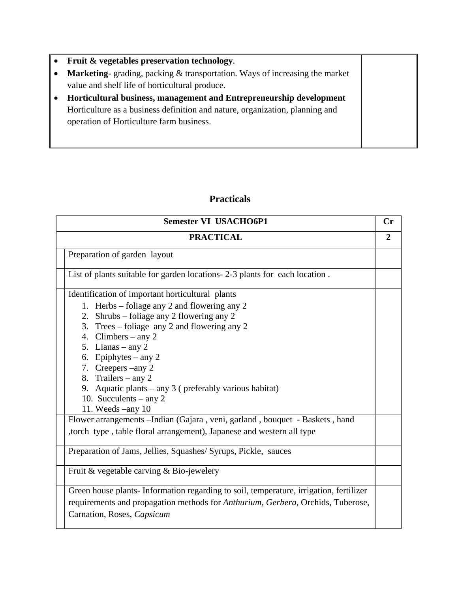- **Fruit & vegetables preservation technology**.
- **Marketing** grading, packing & transportation. Ways of increasing the market value and shelf life of horticultural produce.
- **Horticultural business, management and Entrepreneurship development**  Horticulture as a business definition and nature, organization, planning and operation of Horticulture farm business.

# **Practicals**

| <b>Semester VI USACHO6P1</b>                                                          | Cr             |
|---------------------------------------------------------------------------------------|----------------|
| <b>PRACTICAL</b>                                                                      | $\overline{2}$ |
| Preparation of garden layout                                                          |                |
| List of plants suitable for garden locations- 2-3 plants for each location.           |                |
| Identification of important horticultural plants                                      |                |
| 1. Herbs – foliage any 2 and flowering any 2                                          |                |
| 2. Shrubs – foliage any 2 flowering any 2                                             |                |
| 3. Trees – foliage any 2 and flowering any 2                                          |                |
| 4. Climbers – any 2                                                                   |                |
| 5. Lianas – any $2$                                                                   |                |
| 6. Epiphytes – any 2                                                                  |                |
| 7. Creepers – any 2                                                                   |                |
| 8. Trailers – any $2$                                                                 |                |
| 9. Aquatic plants – any 3 (preferably various habitat)<br>10. Succulents – any $2$    |                |
| 11. Weeds $-$ any 10                                                                  |                |
| Flower arrangements --Indian (Gajara, veni, garland, bouquet - Baskets, hand          |                |
| ,torch type, table floral arrangement), Japanese and western all type                 |                |
|                                                                                       |                |
| Preparation of Jams, Jellies, Squashes/ Syrups, Pickle, sauces                        |                |
| Fruit & vegetable carving & Bio-jewelery                                              |                |
| Green house plants-Information regarding to soil, temperature, irrigation, fertilizer |                |
| requirements and propagation methods for Anthurium, Gerbera, Orchids, Tuberose,       |                |
| Carnation, Roses, Capsicum                                                            |                |
|                                                                                       |                |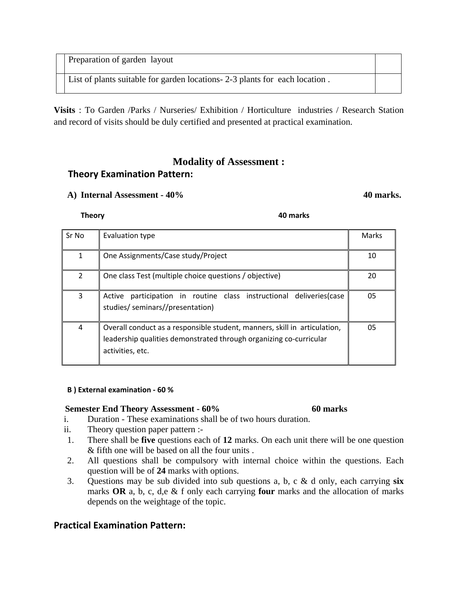Preparation of garden layout

List of plants suitable for garden locations- 2-3 plants for each location .

**Visits** : To Garden /Parks / Nurseries/ Exhibition / Horticulture industries / Research Station and record of visits should be duly certified and presented at practical examination.

# **Modality of Assessment : Theory Examination Pattern:**

### A) Internal Assessment - 40% **40 marks. 40 marks. 40 marks.**

| Sr No          | Evaluation type                                                                                                                                                     | Marks |
|----------------|---------------------------------------------------------------------------------------------------------------------------------------------------------------------|-------|
| 1              | One Assignments/Case study/Project                                                                                                                                  | 10    |
| $\overline{2}$ | One class Test (multiple choice questions / objective)                                                                                                              | 20    |
| 3              | participation in routine class instructional deliveries(case<br>Active<br>studies/ seminars//presentation)                                                          | 05    |
| 4              | Overall conduct as a responsible student, manners, skill in articulation,<br>leadership qualities demonstrated through organizing co-curricular<br>activities, etc. | 05    |

#### **B ) External examination ‐ 60 %**

### **Semester End Theory Assessment - 60% 60 marks**

- i. Duration These examinations shall be of two hours duration.
- ii. Theory question paper pattern :-
- 1. There shall be **five** questions each of **12** marks. On each unit there will be one question & fifth one will be based on all the four units .
- 2. All questions shall be compulsory with internal choice within the questions. Each question will be of **24** marks with options.
- 3. Questions may be sub divided into sub questions a, b, c & d only, each carrying **six** marks **OR** a, b, c, d,e & f only each carrying **four** marks and the allocation of marks depends on the weightage of the topic.

# **Practical Examination Pattern:**